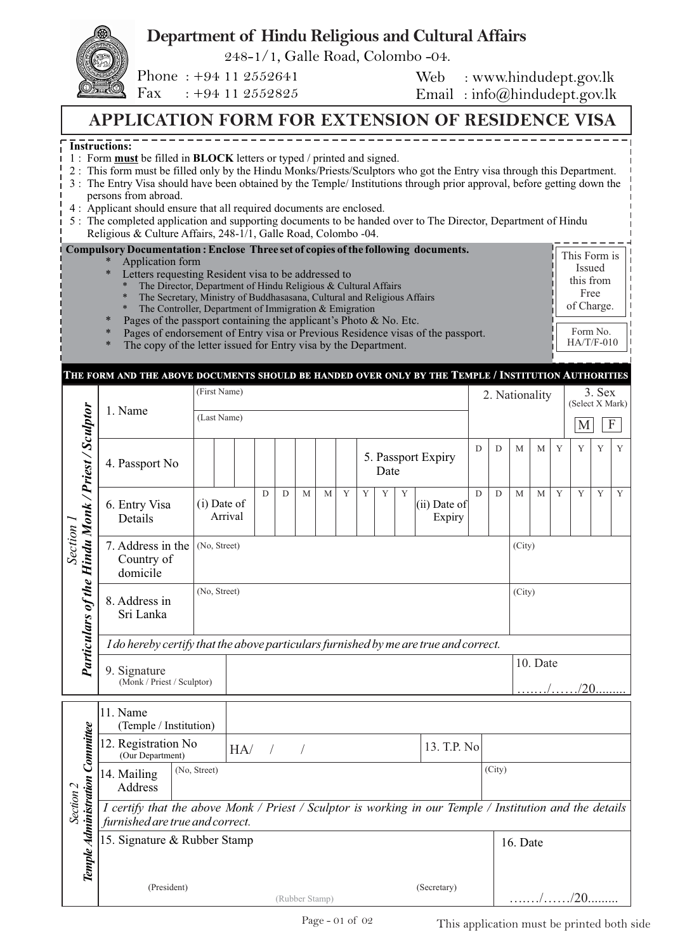## **Department of Hindu Religious and Cultural Affairs**

248-1/1, Galle Road, Colombo -04.

Phone : +94 11 2552641 Fax : +94 11 2552825

Web : www.hindudept.gov.lk Email : info@hindudept.gov.lk

## **APPLICATION FORM FOR EXTENSION OF RESIDENCE VISA**

## **Instructions:**

- 1 : Form **must** be filled in **BLOCK** letters or typed / printed and signed.
- 3 : The Entry Visa should have been obtained by the Temple/ Institutions through prior approval, before getting down the 2 : This form must be filled only by the Hindu Monks/Priests/Sculptors who got the Entry visa through this Department.
- persons from abroad.
- 4 : Applicant should ensure that all required documents are enclosed.
- 5 : The completed application and supporting documents to be handed over to The Director, Department of Hindu Religious & Culture Affairs, 248-1/1, Galle Road, Colombo -04.

| $\ast$<br>$\ast$ | Compulsory Documentation: Enclose Three set of copies of the following documents.<br>Application form<br>Letters requesting Resident visa to be addressed to<br>The Director, Department of Hindu Religious & Cultural Affairs<br>$\ast$<br>The Secretary, Ministry of Buddhasasana, Cultural and Religious Affairs<br>$\ast$<br>The Controller, Department of Immigration $&$ Emigration<br>$\ast$ | This Form is<br>Issued<br>this from<br>Free<br>of Charge. |
|------------------|-----------------------------------------------------------------------------------------------------------------------------------------------------------------------------------------------------------------------------------------------------------------------------------------------------------------------------------------------------------------------------------------------------|-----------------------------------------------------------|
| $\ast$<br>$\ast$ | Pages of the passport containing the applicant's Photo $\&$ No. Etc.<br>Pages of endorsement of Entry visa or Previous Residence visas of the passport.                                                                                                                                                                                                                                             | Form No.                                                  |
| $\ast$           | The copy of the letter issued for Entry visa by the Department.                                                                                                                                                                                                                                                                                                                                     | $HA/T/F-010$                                              |

## THE FORM AND THE ABOVE DOCUMENTS SHOULD BE HANDED OVER ONLY BY THE TEMPLE / INSTITUTION AUTHORITIES

|                                                                |                                                                                                                                             | (First Name)           |                               |                                  |   |   |   |   |   |   |          |   | 2. Nationality<br>(Select X Mark) |          |        |              | 3. Sex      |             |   |   |   |
|----------------------------------------------------------------|---------------------------------------------------------------------------------------------------------------------------------------------|------------------------|-------------------------------|----------------------------------|---|---|---|---|---|---|----------|---|-----------------------------------|----------|--------|--------------|-------------|-------------|---|---|---|
|                                                                | 1. Name                                                                                                                                     | (Last Name)            |                               |                                  |   |   |   |   |   |   |          |   |                                   |          |        | M            |             | $\mathbf F$ |   |   |   |
|                                                                | 4. Passport No                                                                                                                              |                        |                               |                                  |   |   |   |   |   |   | Date     |   | 5. Passport Expiry                | D        | D      | $\mathbf{M}$ | $\mathbf M$ | Y           | Y | Y | Y |
| Particulars of the Hindu Monk / Priest / Sculptor<br>Section 1 | 6. Entry Visa<br>Details                                                                                                                    |                        | $(i)$ Date of<br>Arrival      |                                  | D | D | M | M | Y | Y | Y        | Y | (ii) Date of<br>Expiry            | D        | D      | M            | M           | Y           | Y | Y | Y |
|                                                                | 7. Address in the<br>Country of<br>domicile                                                                                                 |                        | (No, Street)                  |                                  |   |   |   |   |   |   |          |   |                                   | (City)   |        |              |             |             |   |   |   |
|                                                                | 8. Address in<br>Sri Lanka                                                                                                                  |                        | (No, Street)                  |                                  |   |   |   |   |   |   |          |   |                                   |          | (City) |              |             |             |   |   |   |
|                                                                | I do hereby certify that the above particulars furnished by me are true and correct.                                                        |                        |                               |                                  |   |   |   |   |   |   |          |   |                                   |          |        |              |             |             |   |   |   |
|                                                                | 9. Signature<br>(Monk / Priest / Sculptor)                                                                                                  |                        |                               |                                  |   |   |   |   |   |   |          |   |                                   | 10. Date |        |              |             |             |   |   |   |
|                                                                |                                                                                                                                             |                        |                               |                                  |   |   |   |   |   |   |          |   |                                   |          |        |              |             |             |   |   |   |
|                                                                | 11. Name<br>(Temple / Institution)                                                                                                          |                        |                               |                                  |   |   |   |   |   |   |          |   |                                   |          |        |              |             |             |   |   |   |
|                                                                | 12. Registration No<br>(Our Department)                                                                                                     |                        |                               | 13. T.P. No<br>HA/<br>$\sqrt{ }$ |   |   |   |   |   |   |          |   |                                   |          |        |              |             |             |   |   |   |
| Temple Administration Committee                                | 14. Mailing<br>Address                                                                                                                      | (No, Street)<br>(City) |                               |                                  |   |   |   |   |   |   |          |   |                                   |          |        |              |             |             |   |   |   |
| Section 2                                                      | I certify that the above Monk / Priest / Sculptor is working in our Temple / Institution and the details<br>furnished are true and correct. |                        |                               |                                  |   |   |   |   |   |   |          |   |                                   |          |        |              |             |             |   |   |   |
|                                                                | 15. Signature & Rubber Stamp                                                                                                                |                        |                               |                                  |   |   |   |   |   |   | 16. Date |   |                                   |          |        |              |             |             |   |   |   |
|                                                                | (President)                                                                                                                                 |                        | (Secretary)<br>(Rubber Stamp) |                                  |   |   |   |   |   |   |          |   |                                   |          |        | . /20.       |             |             |   |   |   |